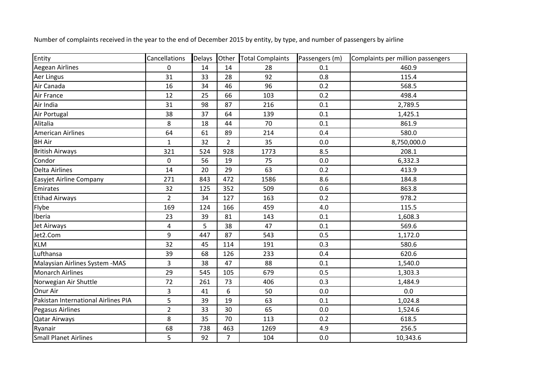| Entity                              | Cancellations  | Delays Other |                | <b>Total Complaints</b> | Passengers (m) | Complaints per million passengers |
|-------------------------------------|----------------|--------------|----------------|-------------------------|----------------|-----------------------------------|
| <b>Aegean Airlines</b>              | $\mathbf 0$    | 14           | 14             | 28                      | 0.1            | 460.9                             |
| Aer Lingus                          | 31             | 33           | 28             | 92                      | 0.8            | 115.4                             |
| Air Canada                          | 16             | 34           | 46             | 96                      | 0.2            | 568.5                             |
| Air France                          | 12             | 25           | 66             | 103                     | 0.2            | 498.4                             |
| Air India                           | 31             | 98           | 87             | 216                     | 0.1            | 2,789.5                           |
| Air Portugal                        | 38             | 37           | 64             | 139                     | 0.1            | 1,425.1                           |
| Alitalia                            | 8              | 18           | 44             | 70                      | 0.1            | 861.9                             |
| American Airlines                   | 64             | 61           | 89             | 214                     | 0.4            | 580.0                             |
| <b>BH Air</b>                       | $\mathbf{1}$   | 32           | $\overline{2}$ | 35                      | 0.0            | 8,750,000.0                       |
| <b>British Airways</b>              | 321            | 524          | 928            | 1773                    | 8.5            | 208.1                             |
| Condor                              | 0              | 56           | 19             | 75                      | 0.0            | 6,332.3                           |
| <b>Delta Airlines</b>               | 14             | 20           | 29             | 63                      | 0.2            | 413.9                             |
| <b>Easyjet Airline Company</b>      | 271            | 843          | 472            | 1586                    | 8.6            | 184.8                             |
| Emirates                            | 32             | 125          | 352            | 509                     | 0.6            | 863.8                             |
| <b>Etihad Airways</b>               | $\overline{2}$ | 34           | 127            | 163                     | 0.2            | 978.2                             |
| Flybe                               | 169            | 124          | 166            | 459                     | 4.0            | 115.5                             |
| Iberia                              | 23             | 39           | 81             | 143                     | 0.1            | 1,608.3                           |
| Jet Airways                         | $\overline{4}$ | 5            | 38             | 47                      | 0.1            | 569.6                             |
| Jet2.Com                            | 9              | 447          | 87             | 543                     | 0.5            | 1,172.0                           |
| <b>KLM</b>                          | 32             | 45           | 114            | 191                     | 0.3            | 580.6                             |
| Lufthansa                           | 39             | 68           | 126            | 233                     | 0.4            | 620.6                             |
| Malaysian Airlines System - MAS     | 3              | 38           | 47             | 88                      | 0.1            | 1,540.0                           |
| <b>Monarch Airlines</b>             | 29             | 545          | 105            | 679                     | 0.5            | 1,303.3                           |
| Norwegian Air Shuttle               | 72             | 261          | 73             | 406                     | 0.3            | 1,484.9                           |
| Onur Air                            | 3              | 41           | 6              | 50                      | 0.0            | $0.0\,$                           |
| Pakistan International Airlines PIA | 5              | 39           | 19             | 63                      | 0.1            | 1,024.8                           |
| Pegasus Airlines                    | $\overline{2}$ | 33           | 30             | 65                      | 0.0            | 1,524.6                           |
| Qatar Airways                       | 8              | 35           | 70             | 113                     | 0.2            | 618.5                             |
| Ryanair                             | 68             | 738          | 463            | 1269                    | 4.9            | 256.5                             |
| <b>Small Planet Airlines</b>        | 5              | 92           | $\overline{7}$ | 104                     | 0.0            | 10,343.6                          |

Number of complaints received in the year to the end of December 2015 by entity, by type, and number of passengers by airline